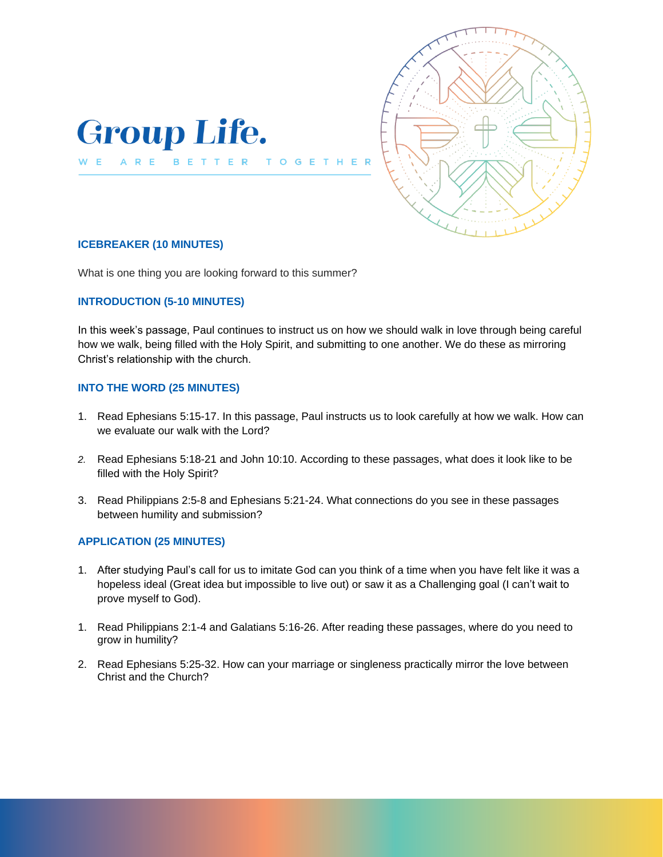



### **ICEBREAKER (10 MINUTES)**

What is one thing you are looking forward to this summer?

#### **INTRODUCTION (5-10 MINUTES)**

In this week's passage, Paul continues to instruct us on how we should walk in love through being careful how we walk, being filled with the Holy Spirit, and submitting to one another. We do these as mirroring Christ's relationship with the church.

 $\mathsf{G}$ 

### **INTO THE WORD (25 MINUTES)**

- 1. Read Ephesians 5:15-17. In this passage, Paul instructs us to look carefully at how we walk. How can we evaluate our walk with the Lord?
- *2.* Read Ephesians 5:18-21 and John 10:10. According to these passages, what does it look like to be filled with the Holy Spirit?
- 3. Read Philippians 2:5-8 and Ephesians 5:21-24. What connections do you see in these passages between humility and submission?

## **APPLICATION (25 MINUTES)**

- 1. After studying Paul's call for us to imitate God can you think of a time when you have felt like it was a hopeless ideal (Great idea but impossible to live out) or saw it as a Challenging goal (I can't wait to prove myself to God).
- 1. Read Philippians 2:1-4 and Galatians 5:16-26. After reading these passages, where do you need to grow in humility?
- 2. Read Ephesians 5:25-32. How can your marriage or singleness practically mirror the love between Christ and the Church?